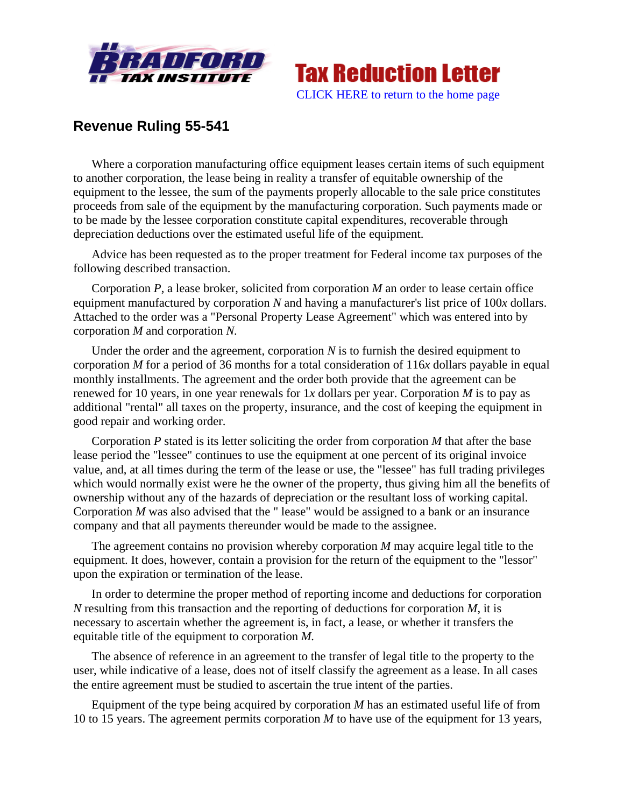



## **Revenue Ruling 55-541**

Where a corporation manufacturing office equipment leases certain items of such equipment to another corporation, the lease being in reality a transfer of equitable ownership of the equipment to the lessee, the sum of the payments properly allocable to the sale price constitutes proceeds from sale of the equipment by the manufacturing corporation. Such payments made or to be made by the lessee corporation constitute capital expenditures, recoverable through depreciation deductions over the estimated useful life of the equipment.

Advice has been requested as to the proper treatment for Federal income tax purposes of the following described transaction.

Corporation *P*, a lease broker, solicited from corporation *M* an order to lease certain office equipment manufactured by corporation *N* and having a manufacturer's list price of 100*x* dollars. Attached to the order was a "Personal Property Lease Agreement" which was entered into by corporation *M* and corporation *N.*

Under the order and the agreement, corporation *N* is to furnish the desired equipment to corporation *M* for a period of 36 months for a total consideration of 116*x* dollars payable in equal monthly installments. The agreement and the order both provide that the agreement can be renewed for 10 years, in one year renewals for 1*x* dollars per year. Corporation *M* is to pay as additional "rental" all taxes on the property, insurance, and the cost of keeping the equipment in good repair and working order.

Corporation *P* stated is its letter soliciting the order from corporation *M* that after the base lease period the "lessee" continues to use the equipment at one percent of its original invoice value, and, at all times during the term of the lease or use, the "lessee" has full trading privileges which would normally exist were he the owner of the property, thus giving him all the benefits of ownership without any of the hazards of depreciation or the resultant loss of working capital. Corporation *M* was also advised that the " lease" would be assigned to a bank or an insurance company and that all payments thereunder would be made to the assignee.

The agreement contains no provision whereby corporation *M* may acquire legal title to the equipment. It does, however, contain a provision for the return of the equipment to the "lessor" upon the expiration or termination of the lease.

In order to determine the proper method of reporting income and deductions for corporation *N* resulting from this transaction and the reporting of deductions for corporation *M*, it is necessary to ascertain whether the agreement is, in fact, a lease, or whether it transfers the equitable title of the equipment to corporation *M.*

The absence of reference in an agreement to the transfer of legal title to the property to the user, while indicative of a lease, does not of itself classify the agreement as a lease. In all cases the entire agreement must be studied to ascertain the true intent of the parties.

Equipment of the type being acquired by corporation *M* has an estimated useful life of from 10 to 15 years. The agreement permits corporation *M* to have use of the equipment for 13 years,